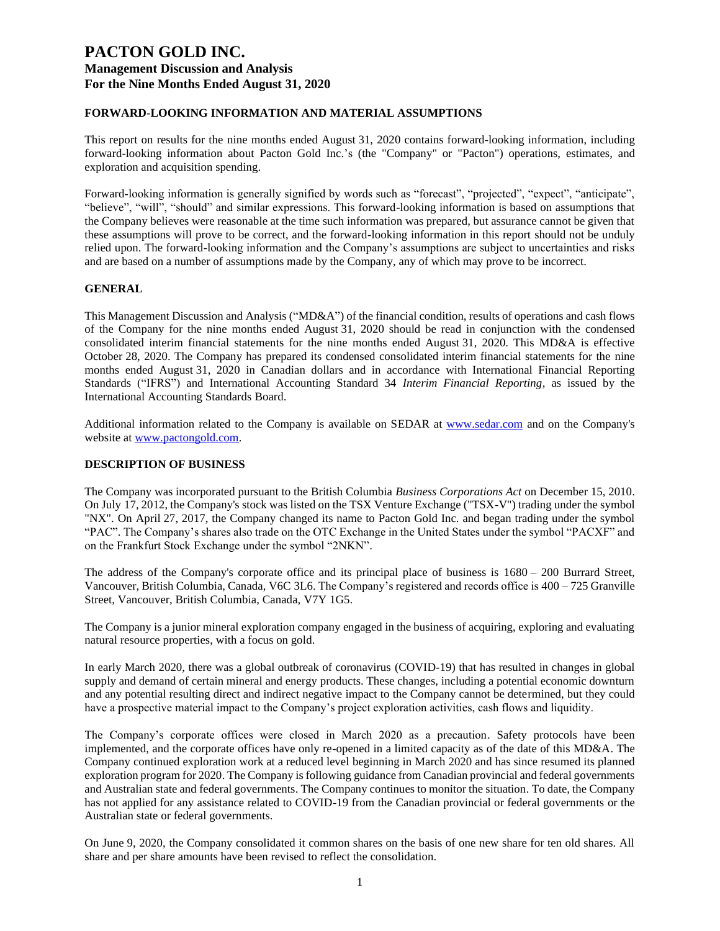### **FORWARD-LOOKING INFORMATION AND MATERIAL ASSUMPTIONS**

This report on results for the nine months ended August 31, 2020 contains forward-looking information, including forward-looking information about Pacton Gold Inc.'s (the "Company" or "Pacton") operations, estimates, and exploration and acquisition spending.

Forward-looking information is generally signified by words such as "forecast", "projected", "expect", "anticipate", "believe", "will", "should" and similar expressions. This forward-looking information is based on assumptions that the Company believes were reasonable at the time such information was prepared, but assurance cannot be given that these assumptions will prove to be correct, and the forward-looking information in this report should not be unduly relied upon. The forward-looking information and the Company's assumptions are subject to uncertainties and risks and are based on a number of assumptions made by the Company, any of which may prove to be incorrect.

### **GENERAL**

This Management Discussion and Analysis ("MD&A") of the financial condition, results of operations and cash flows of the Company for the nine months ended August 31, 2020 should be read in conjunction with the condensed consolidated interim financial statements for the nine months ended August 31, 2020. This MD&A is effective October 28, 2020. The Company has prepared its condensed consolidated interim financial statements for the nine months ended August 31, 2020 in Canadian dollars and in accordance with International Financial Reporting Standards ("IFRS") and International Accounting Standard 34 *Interim Financial Reporting*, as issued by the International Accounting Standards Board.

Additional information related to the Company is available on SEDAR at [www.sedar.com](http://www.sedar.com/) and on the Company's website at [www.pactongold.com.](http://www.pactongold.com/)

#### **DESCRIPTION OF BUSINESS**

The Company was incorporated pursuant to the British Columbia *Business Corporations Act* on December 15, 2010. On July 17, 2012, the Company's stock was listed on the TSX Venture Exchange ("TSX-V") trading under the symbol "NX". On April 27, 2017, the Company changed its name to Pacton Gold Inc. and began trading under the symbol "PAC". The Company's shares also trade on the OTC Exchange in the United States under the symbol "PACXF" and on the Frankfurt Stock Exchange under the symbol "2NKN".

The address of the Company's corporate office and its principal place of business is 1680 – 200 Burrard Street, Vancouver, British Columbia, Canada, V6C 3L6. The Company's registered and records office is 400 – 725 Granville Street, Vancouver, British Columbia, Canada, V7Y 1G5.

The Company is a junior mineral exploration company engaged in the business of acquiring, exploring and evaluating natural resource properties, with a focus on gold.

In early March 2020, there was a global outbreak of coronavirus (COVID-19) that has resulted in changes in global supply and demand of certain mineral and energy products. These changes, including a potential economic downturn and any potential resulting direct and indirect negative impact to the Company cannot be determined, but they could have a prospective material impact to the Company's project exploration activities, cash flows and liquidity.

The Company's corporate offices were closed in March 2020 as a precaution. Safety protocols have been implemented, and the corporate offices have only re-opened in a limited capacity as of the date of this MD&A. The Company continued exploration work at a reduced level beginning in March 2020 and has since resumed its planned exploration program for 2020. The Company is following guidance from Canadian provincial and federal governments and Australian state and federal governments. The Company continues to monitor the situation. To date, the Company has not applied for any assistance related to COVID-19 from the Canadian provincial or federal governments or the Australian state or federal governments.

On June 9, 2020, the Company consolidated it common shares on the basis of one new share for ten old shares. All share and per share amounts have been revised to reflect the consolidation.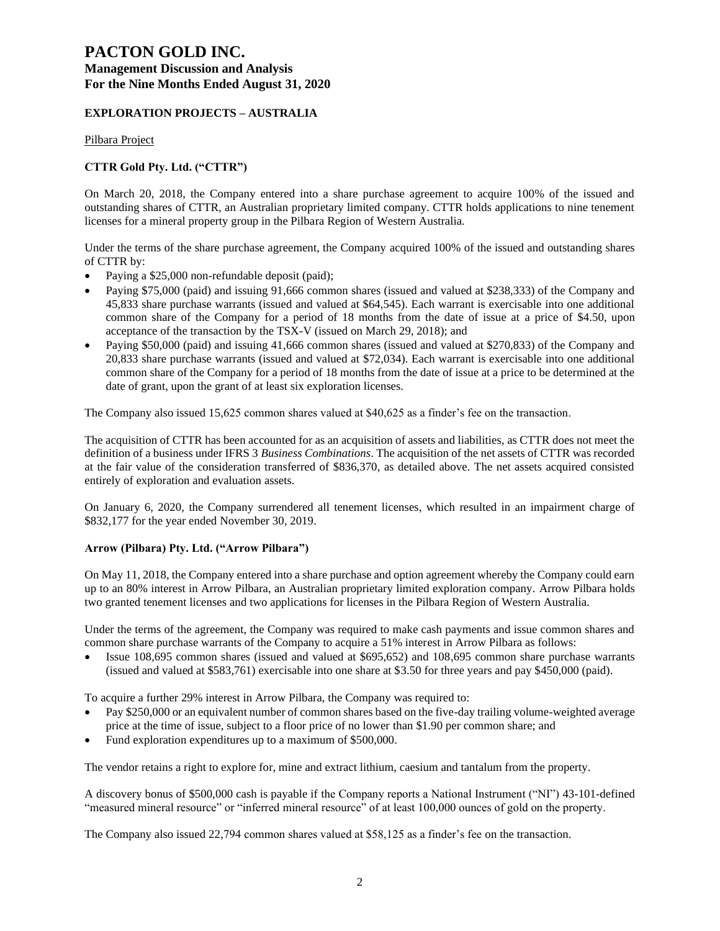# **PACTON GOLD INC.**

### **Management Discussion and Analysis For the Nine Months Ended August 31, 2020**

### **EXPLORATION PROJECTS – AUSTRALIA**

Pilbara Project

### **CTTR Gold Pty. Ltd. ("CTTR")**

On March 20, 2018, the Company entered into a share purchase agreement to acquire 100% of the issued and outstanding shares of CTTR, an Australian proprietary limited company. CTTR holds applications to nine tenement licenses for a mineral property group in the Pilbara Region of Western Australia.

Under the terms of the share purchase agreement, the Company acquired 100% of the issued and outstanding shares of CTTR by:

- Paying a \$25,000 non-refundable deposit (paid);
- Paying \$75,000 (paid) and issuing 91,666 common shares (issued and valued at \$238,333) of the Company and 45,833 share purchase warrants (issued and valued at \$64,545). Each warrant is exercisable into one additional common share of the Company for a period of 18 months from the date of issue at a price of \$4.50, upon acceptance of the transaction by the TSX-V (issued on March 29, 2018); and
- Paying \$50,000 (paid) and issuing 41,666 common shares (issued and valued at \$270,833) of the Company and 20,833 share purchase warrants (issued and valued at \$72,034). Each warrant is exercisable into one additional common share of the Company for a period of 18 months from the date of issue at a price to be determined at the date of grant, upon the grant of at least six exploration licenses.

The Company also issued 15,625 common shares valued at \$40,625 as a finder's fee on the transaction.

The acquisition of CTTR has been accounted for as an acquisition of assets and liabilities, as CTTR does not meet the definition of a business under IFRS 3 *Business Combinations*. The acquisition of the net assets of CTTR was recorded at the fair value of the consideration transferred of \$836,370, as detailed above. The net assets acquired consisted entirely of exploration and evaluation assets.

On January 6, 2020, the Company surrendered all tenement licenses, which resulted in an impairment charge of \$832,177 for the year ended November 30, 2019.

### **Arrow (Pilbara) Pty. Ltd. ("Arrow Pilbara")**

On May 11, 2018, the Company entered into a share purchase and option agreement whereby the Company could earn up to an 80% interest in Arrow Pilbara, an Australian proprietary limited exploration company. Arrow Pilbara holds two granted tenement licenses and two applications for licenses in the Pilbara Region of Western Australia.

Under the terms of the agreement, the Company was required to make cash payments and issue common shares and common share purchase warrants of the Company to acquire a 51% interest in Arrow Pilbara as follows:

• Issue 108,695 common shares (issued and valued at \$695,652) and 108,695 common share purchase warrants (issued and valued at \$583,761) exercisable into one share at \$3.50 for three years and pay \$450,000 (paid).

To acquire a further 29% interest in Arrow Pilbara, the Company was required to:

- Pay \$250,000 or an equivalent number of common shares based on the five-day trailing volume-weighted average price at the time of issue, subject to a floor price of no lower than \$1.90 per common share; and
- Fund exploration expenditures up to a maximum of \$500,000.

The vendor retains a right to explore for, mine and extract lithium, caesium and tantalum from the property.

A discovery bonus of \$500,000 cash is payable if the Company reports a National Instrument ("NI") 43-101-defined "measured mineral resource" or "inferred mineral resource" of at least 100,000 ounces of gold on the property.

The Company also issued 22,794 common shares valued at \$58,125 as a finder's fee on the transaction.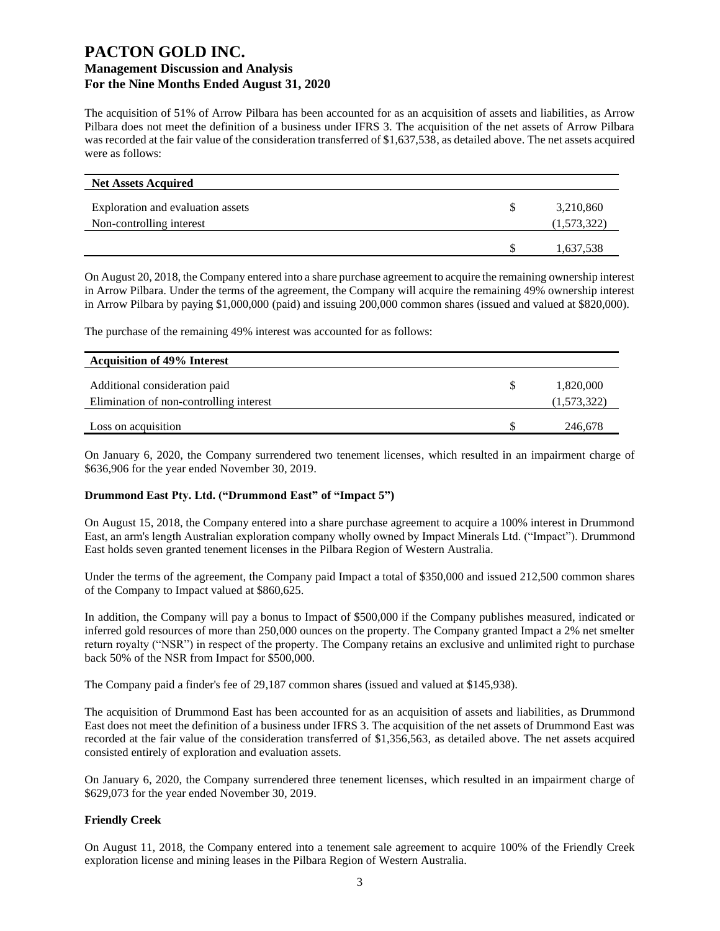The acquisition of 51% of Arrow Pilbara has been accounted for as an acquisition of assets and liabilities, as Arrow Pilbara does not meet the definition of a business under IFRS 3. The acquisition of the net assets of Arrow Pilbara was recorded at the fair value of the consideration transferred of \$1,637,538, as detailed above. The net assets acquired were as follows:

| <b>Net Assets Acquired</b>        |             |
|-----------------------------------|-------------|
| Exploration and evaluation assets | 3,210,860   |
| Non-controlling interest          | (1,573,322) |
|                                   | 1,637,538   |

On August 20, 2018, the Company entered into a share purchase agreement to acquire the remaining ownership interest in Arrow Pilbara. Under the terms of the agreement, the Company will acquire the remaining 49% ownership interest in Arrow Pilbara by paying \$1,000,000 (paid) and issuing 200,000 common shares (issued and valued at \$820,000).

The purchase of the remaining 49% interest was accounted for as follows:

| <b>Acquisition of 49% Interest</b>                                       |                          |
|--------------------------------------------------------------------------|--------------------------|
| Additional consideration paid<br>Elimination of non-controlling interest | 1,820,000<br>(1,573,322) |
| Loss on acquisition                                                      | 246,678                  |

On January 6, 2020, the Company surrendered two tenement licenses, which resulted in an impairment charge of \$636,906 for the year ended November 30, 2019.

#### **Drummond East Pty. Ltd. ("Drummond East" of "Impact 5")**

On August 15, 2018, the Company entered into a share purchase agreement to acquire a 100% interest in Drummond East, an arm's length Australian exploration company wholly owned by Impact Minerals Ltd. ("Impact"). Drummond East holds seven granted tenement licenses in the Pilbara Region of Western Australia.

Under the terms of the agreement, the Company paid Impact a total of \$350,000 and issued 212,500 common shares of the Company to Impact valued at \$860,625.

In addition, the Company will pay a bonus to Impact of \$500,000 if the Company publishes measured, indicated or inferred gold resources of more than 250,000 ounces on the property. The Company granted Impact a 2% net smelter return royalty ("NSR") in respect of the property. The Company retains an exclusive and unlimited right to purchase back 50% of the NSR from Impact for \$500,000.

The Company paid a finder's fee of 29,187 common shares (issued and valued at \$145,938).

The acquisition of Drummond East has been accounted for as an acquisition of assets and liabilities, as Drummond East does not meet the definition of a business under IFRS 3. The acquisition of the net assets of Drummond East was recorded at the fair value of the consideration transferred of \$1,356,563, as detailed above. The net assets acquired consisted entirely of exploration and evaluation assets.

On January 6, 2020, the Company surrendered three tenement licenses, which resulted in an impairment charge of \$629,073 for the year ended November 30, 2019.

### **Friendly Creek**

On August 11, 2018, the Company entered into a tenement sale agreement to acquire 100% of the Friendly Creek exploration license and mining leases in the Pilbara Region of Western Australia.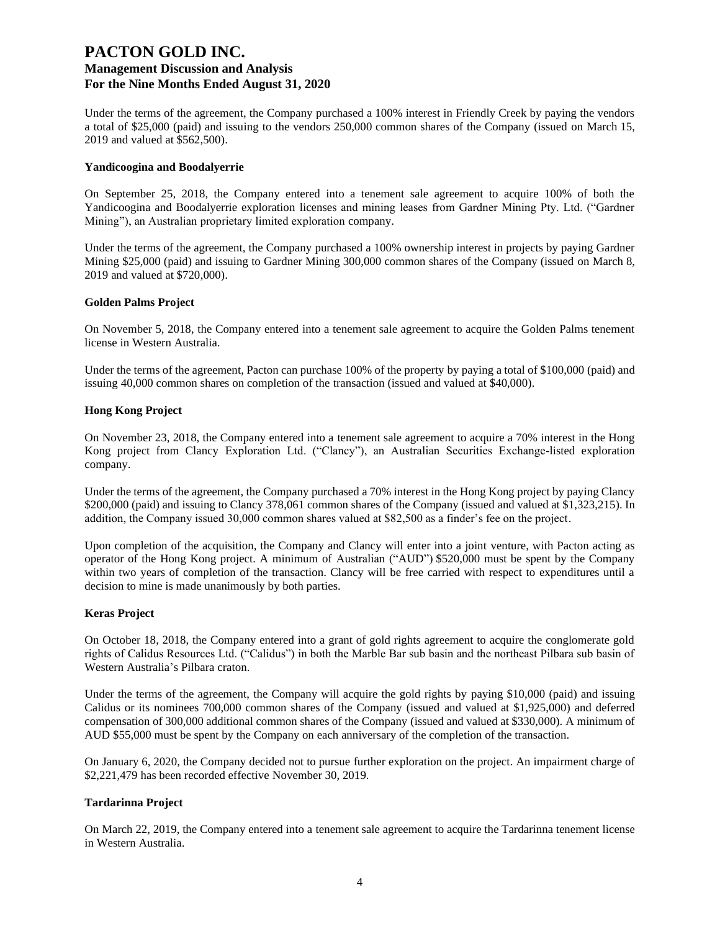Under the terms of the agreement, the Company purchased a 100% interest in Friendly Creek by paying the vendors a total of \$25,000 (paid) and issuing to the vendors 250,000 common shares of the Company (issued on March 15, 2019 and valued at \$562,500).

#### **Yandicoogina and Boodalyerrie**

On September 25, 2018, the Company entered into a tenement sale agreement to acquire 100% of both the Yandicoogina and Boodalyerrie exploration licenses and mining leases from Gardner Mining Pty. Ltd. ("Gardner Mining"), an Australian proprietary limited exploration company.

Under the terms of the agreement, the Company purchased a 100% ownership interest in projects by paying Gardner Mining \$25,000 (paid) and issuing to Gardner Mining 300,000 common shares of the Company (issued on March 8, 2019 and valued at \$720,000).

#### **Golden Palms Project**

On November 5, 2018, the Company entered into a tenement sale agreement to acquire the Golden Palms tenement license in Western Australia.

Under the terms of the agreement, Pacton can purchase 100% of the property by paying a total of \$100,000 (paid) and issuing 40,000 common shares on completion of the transaction (issued and valued at \$40,000).

#### **Hong Kong Project**

On November 23, 2018, the Company entered into a tenement sale agreement to acquire a 70% interest in the Hong Kong project from Clancy Exploration Ltd. ("Clancy"), an Australian Securities Exchange-listed exploration company.

Under the terms of the agreement, the Company purchased a 70% interest in the Hong Kong project by paying Clancy \$200,000 (paid) and issuing to Clancy 378,061 common shares of the Company (issued and valued at \$1,323,215). In addition, the Company issued 30,000 common shares valued at \$82,500 as a finder's fee on the project.

Upon completion of the acquisition, the Company and Clancy will enter into a joint venture, with Pacton acting as operator of the Hong Kong project. A minimum of Australian ("AUD") \$520,000 must be spent by the Company within two years of completion of the transaction. Clancy will be free carried with respect to expenditures until a decision to mine is made unanimously by both parties.

#### **Keras Project**

On October 18, 2018, the Company entered into a grant of gold rights agreement to acquire the conglomerate gold rights of Calidus Resources Ltd. ("Calidus") in both the Marble Bar sub basin and the northeast Pilbara sub basin of Western Australia's Pilbara craton.

Under the terms of the agreement, the Company will acquire the gold rights by paying \$10,000 (paid) and issuing Calidus or its nominees 700,000 common shares of the Company (issued and valued at \$1,925,000) and deferred compensation of 300,000 additional common shares of the Company (issued and valued at \$330,000). A minimum of AUD \$55,000 must be spent by the Company on each anniversary of the completion of the transaction.

On January 6, 2020, the Company decided not to pursue further exploration on the project. An impairment charge of \$2,221,479 has been recorded effective November 30, 2019.

### **Tardarinna Project**

On March 22, 2019, the Company entered into a tenement sale agreement to acquire the Tardarinna tenement license in Western Australia.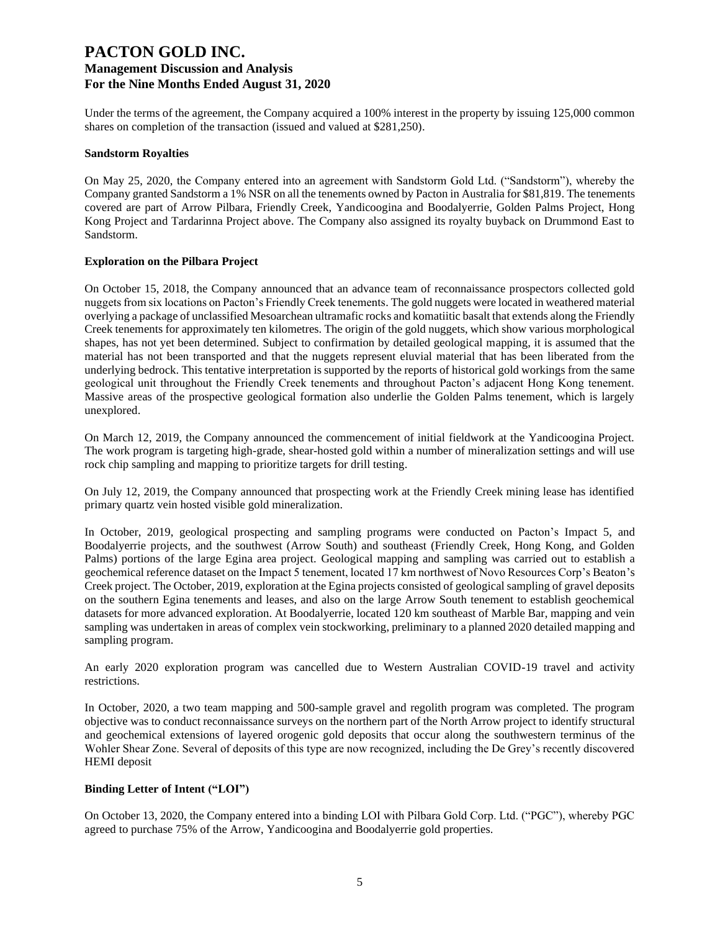Under the terms of the agreement, the Company acquired a 100% interest in the property by issuing 125,000 common shares on completion of the transaction (issued and valued at \$281,250).

#### **Sandstorm Royalties**

On May 25, 2020, the Company entered into an agreement with Sandstorm Gold Ltd. ("Sandstorm"), whereby the Company granted Sandstorm a 1% NSR on all the tenements owned by Pacton in Australia for \$81,819. The tenements covered are part of Arrow Pilbara, Friendly Creek, Yandicoogina and Boodalyerrie, Golden Palms Project, Hong Kong Project and Tardarinna Project above. The Company also assigned its royalty buyback on Drummond East to Sandstorm.

#### **Exploration on the Pilbara Project**

On October 15, 2018, the Company announced that an advance team of reconnaissance prospectors collected gold nuggets from six locations on Pacton's Friendly Creek tenements. The gold nuggets were located in weathered material overlying a package of unclassified Mesoarchean ultramafic rocks and komatiitic basalt that extends along the Friendly Creek tenements for approximately ten kilometres. The origin of the gold nuggets, which show various morphological shapes, has not yet been determined. Subject to confirmation by detailed geological mapping, it is assumed that the material has not been transported and that the nuggets represent eluvial material that has been liberated from the underlying bedrock. This tentative interpretation is supported by the reports of historical gold workings from the same geological unit throughout the Friendly Creek tenements and throughout Pacton's adjacent Hong Kong tenement. Massive areas of the prospective geological formation also underlie the Golden Palms tenement, which is largely unexplored.

On March 12, 2019, the Company announced the commencement of initial fieldwork at the Yandicoogina Project. The work program is targeting high-grade, shear-hosted gold within a number of mineralization settings and will use rock chip sampling and mapping to prioritize targets for drill testing.

On July 12, 2019, the Company announced that prospecting work at the Friendly Creek mining lease has identified primary quartz vein hosted visible gold mineralization.

In October, 2019, geological prospecting and sampling programs were conducted on Pacton's Impact 5, and Boodalyerrie projects, and the southwest (Arrow South) and southeast (Friendly Creek, Hong Kong, and Golden Palms) portions of the large Egina area project. Geological mapping and sampling was carried out to establish a geochemical reference dataset on the Impact 5 tenement, located 17 km northwest of Novo Resources Corp's Beaton's Creek project. The October, 2019, exploration at the Egina projects consisted of geological sampling of gravel deposits on the southern Egina tenements and leases, and also on the large Arrow South tenement to establish geochemical datasets for more advanced exploration. At Boodalyerrie, located 120 km southeast of Marble Bar, mapping and vein sampling was undertaken in areas of complex vein stockworking, preliminary to a planned 2020 detailed mapping and sampling program.

An early 2020 exploration program was cancelled due to Western Australian COVID-19 travel and activity restrictions.

In October, 2020, a two team mapping and 500-sample gravel and regolith program was completed. The program objective was to conduct reconnaissance surveys on the northern part of the North Arrow project to identify structural and geochemical extensions of layered orogenic gold deposits that occur along the southwestern terminus of the Wohler Shear Zone. Several of deposits of this type are now recognized, including the De Grey's recently discovered HEMI deposit

### **Binding Letter of Intent ("LOI")**

On October 13, 2020, the Company entered into a binding LOI with Pilbara Gold Corp. Ltd. ("PGC"), whereby PGC agreed to purchase 75% of the Arrow, Yandicoogina and Boodalyerrie gold properties.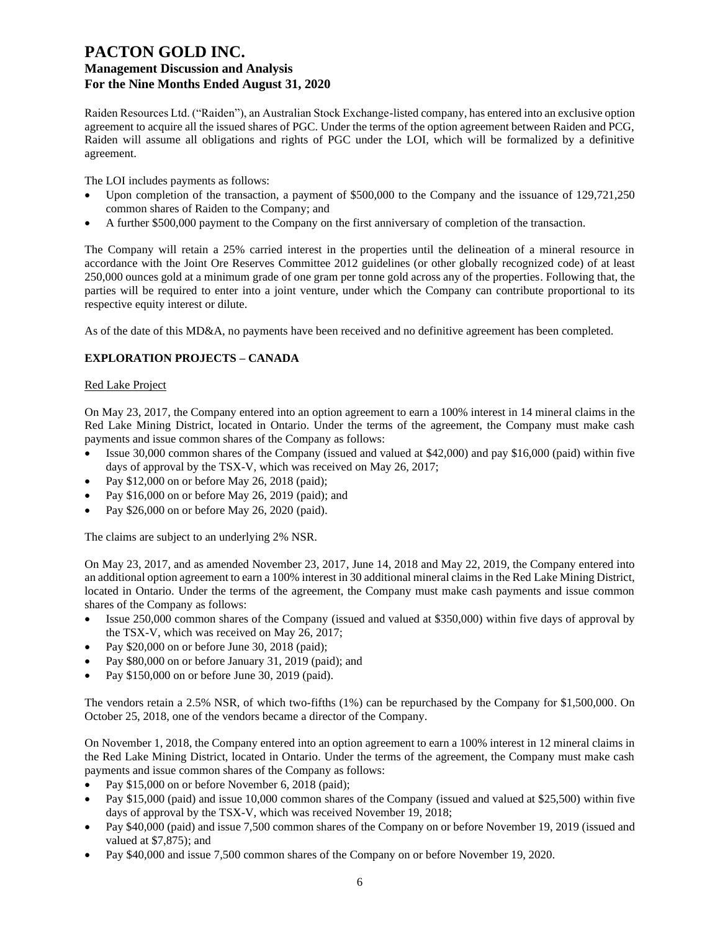Raiden Resources Ltd. ("Raiden"), an Australian Stock Exchange-listed company, has entered into an exclusive option agreement to acquire all the issued shares of PGC. Under the terms of the option agreement between Raiden and PCG, Raiden will assume all obligations and rights of PGC under the LOI, which will be formalized by a definitive agreement.

The LOI includes payments as follows:

- Upon completion of the transaction, a payment of \$500,000 to the Company and the issuance of 129,721,250 common shares of Raiden to the Company; and
- A further \$500,000 payment to the Company on the first anniversary of completion of the transaction.

The Company will retain a 25% carried interest in the properties until the delineation of a mineral resource in accordance with the Joint Ore Reserves Committee 2012 guidelines (or other globally recognized code) of at least 250,000 ounces gold at a minimum grade of one gram per tonne gold across any of the properties. Following that, the parties will be required to enter into a joint venture, under which the Company can contribute proportional to its respective equity interest or dilute.

As of the date of this MD&A, no payments have been received and no definitive agreement has been completed.

### **EXPLORATION PROJECTS – CANADA**

#### Red Lake Project

On May 23, 2017, the Company entered into an option agreement to earn a 100% interest in 14 mineral claims in the Red Lake Mining District, located in Ontario. Under the terms of the agreement, the Company must make cash payments and issue common shares of the Company as follows:

- Issue 30,000 common shares of the Company (issued and valued at \$42,000) and pay \$16,000 (paid) within five days of approval by the TSX-V, which was received on May 26, 2017;
- Pay \$12,000 on or before May 26, 2018 (paid);
- Pay \$16,000 on or before May 26, 2019 (paid); and
- Pay \$26,000 on or before May 26, 2020 (paid).

The claims are subject to an underlying 2% NSR.

On May 23, 2017, and as amended November 23, 2017, June 14, 2018 and May 22, 2019, the Company entered into an additional option agreement to earn a 100% interest in 30 additional mineral claims in the Red Lake Mining District, located in Ontario. Under the terms of the agreement, the Company must make cash payments and issue common shares of the Company as follows:

- Issue 250,000 common shares of the Company (issued and valued at \$350,000) within five days of approval by the TSX-V, which was received on May 26, 2017;
- Pay \$20,000 on or before June 30, 2018 (paid);
- Pay \$80,000 on or before January 31, 2019 (paid); and
- Pay \$150,000 on or before June 30, 2019 (paid).

The vendors retain a 2.5% NSR, of which two-fifths (1%) can be repurchased by the Company for \$1,500,000. On October 25, 2018, one of the vendors became a director of the Company.

On November 1, 2018, the Company entered into an option agreement to earn a 100% interest in 12 mineral claims in the Red Lake Mining District, located in Ontario. Under the terms of the agreement, the Company must make cash payments and issue common shares of the Company as follows:

- Pay \$15,000 on or before November 6, 2018 (paid);
- Pay \$15,000 (paid) and issue 10,000 common shares of the Company (issued and valued at \$25,500) within five days of approval by the TSX-V, which was received November 19, 2018;
- Pay \$40,000 (paid) and issue 7,500 common shares of the Company on or before November 19, 2019 (issued and valued at \$7,875); and
- Pay \$40,000 and issue 7,500 common shares of the Company on or before November 19, 2020.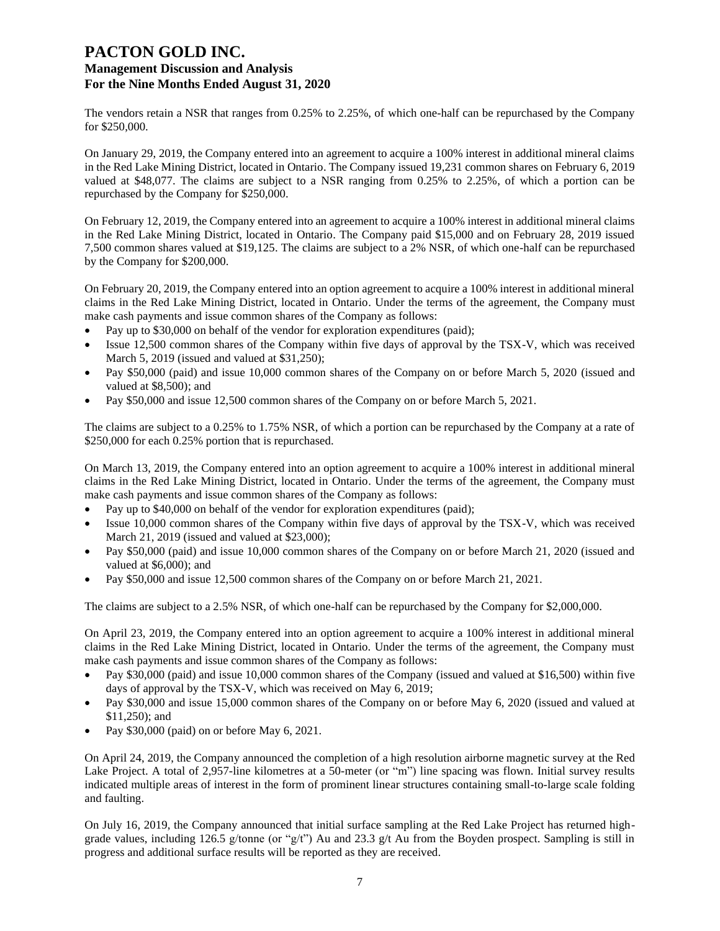The vendors retain a NSR that ranges from 0.25% to 2.25%, of which one-half can be repurchased by the Company for \$250,000.

On January 29, 2019, the Company entered into an agreement to acquire a 100% interest in additional mineral claims in the Red Lake Mining District, located in Ontario. The Company issued 19,231 common shares on February 6, 2019 valued at \$48,077. The claims are subject to a NSR ranging from 0.25% to 2.25%, of which a portion can be repurchased by the Company for \$250,000.

On February 12, 2019, the Company entered into an agreement to acquire a 100% interest in additional mineral claims in the Red Lake Mining District, located in Ontario. The Company paid \$15,000 and on February 28, 2019 issued 7,500 common shares valued at \$19,125. The claims are subject to a 2% NSR, of which one-half can be repurchased by the Company for \$200,000.

On February 20, 2019, the Company entered into an option agreement to acquire a 100% interest in additional mineral claims in the Red Lake Mining District, located in Ontario. Under the terms of the agreement, the Company must make cash payments and issue common shares of the Company as follows:

- Pay up to \$30,000 on behalf of the vendor for exploration expenditures (paid);
- Issue 12,500 common shares of the Company within five days of approval by the TSX-V, which was received March 5, 2019 (issued and valued at \$31,250);
- Pay \$50,000 (paid) and issue 10,000 common shares of the Company on or before March 5, 2020 (issued and valued at \$8,500); and
- Pay \$50,000 and issue 12,500 common shares of the Company on or before March 5, 2021.

The claims are subject to a 0.25% to 1.75% NSR, of which a portion can be repurchased by the Company at a rate of \$250,000 for each 0.25% portion that is repurchased.

On March 13, 2019, the Company entered into an option agreement to acquire a 100% interest in additional mineral claims in the Red Lake Mining District, located in Ontario. Under the terms of the agreement, the Company must make cash payments and issue common shares of the Company as follows:

- Pay up to \$40,000 on behalf of the vendor for exploration expenditures (paid);
- Issue 10,000 common shares of the Company within five days of approval by the TSX-V, which was received March 21, 2019 (issued and valued at \$23,000);
- Pay \$50,000 (paid) and issue 10,000 common shares of the Company on or before March 21, 2020 (issued and valued at \$6,000); and
- Pay \$50,000 and issue 12,500 common shares of the Company on or before March 21, 2021.

The claims are subject to a 2.5% NSR, of which one-half can be repurchased by the Company for \$2,000,000.

On April 23, 2019, the Company entered into an option agreement to acquire a 100% interest in additional mineral claims in the Red Lake Mining District, located in Ontario. Under the terms of the agreement, the Company must make cash payments and issue common shares of the Company as follows:

- Pay \$30,000 (paid) and issue 10,000 common shares of the Company (issued and valued at \$16,500) within five days of approval by the TSX-V, which was received on May 6, 2019;
- Pay \$30,000 and issue 15,000 common shares of the Company on or before May 6, 2020 (issued and valued at \$11,250); and
- Pay \$30,000 (paid) on or before May 6, 2021.

On April 24, 2019, the Company announced the completion of a high resolution airborne magnetic survey at the Red Lake Project. A total of 2,957-line kilometres at a 50-meter (or "m") line spacing was flown. Initial survey results indicated multiple areas of interest in the form of prominent linear structures containing small-to-large scale folding and faulting.

On July 16, 2019, the Company announced that initial surface sampling at the Red Lake Project has returned highgrade values, including 126.5 g/tonne (or "g/t") Au and 23.3 g/t Au from the Boyden prospect. Sampling is still in progress and additional surface results will be reported as they are received.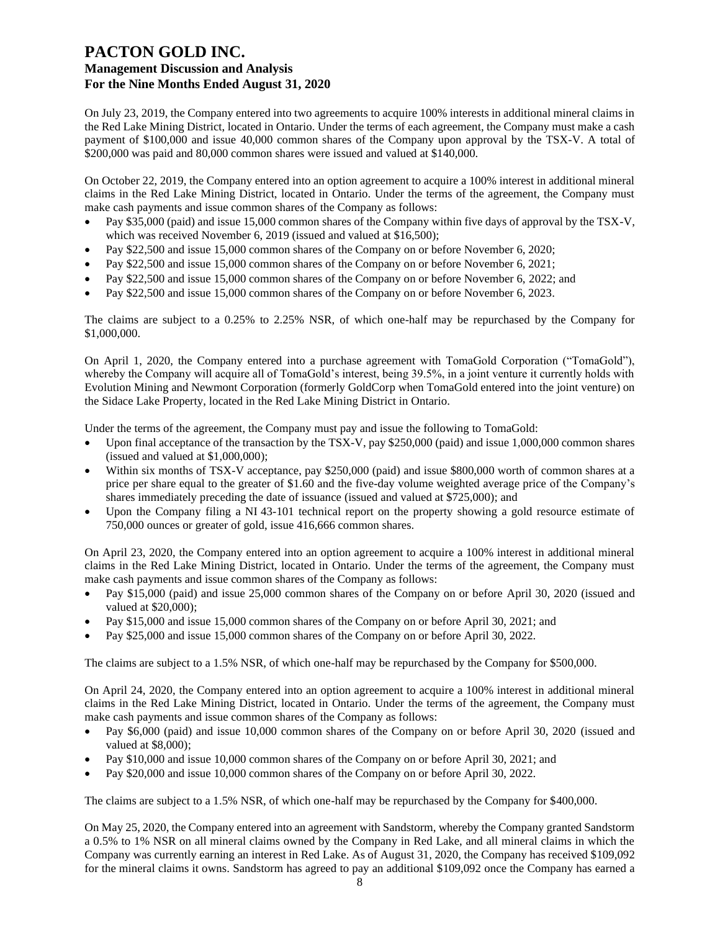On July 23, 2019, the Company entered into two agreements to acquire 100% interests in additional mineral claims in the Red Lake Mining District, located in Ontario. Under the terms of each agreement, the Company must make a cash payment of \$100,000 and issue 40,000 common shares of the Company upon approval by the TSX-V. A total of \$200,000 was paid and 80,000 common shares were issued and valued at \$140,000.

On October 22, 2019, the Company entered into an option agreement to acquire a 100% interest in additional mineral claims in the Red Lake Mining District, located in Ontario. Under the terms of the agreement, the Company must make cash payments and issue common shares of the Company as follows:

- Pay \$35,000 (paid) and issue 15,000 common shares of the Company within five days of approval by the TSX-V, which was received November 6, 2019 (issued and valued at \$16,500);
- Pay \$22,500 and issue 15,000 common shares of the Company on or before November 6, 2020;
- Pay \$22,500 and issue 15,000 common shares of the Company on or before November 6, 2021;
- Pay \$22,500 and issue 15,000 common shares of the Company on or before November 6, 2022; and
- Pay \$22,500 and issue 15,000 common shares of the Company on or before November 6, 2023.

The claims are subject to a 0.25% to 2.25% NSR, of which one-half may be repurchased by the Company for \$1,000,000.

On April 1, 2020, the Company entered into a purchase agreement with TomaGold Corporation ("TomaGold"), whereby the Company will acquire all of TomaGold's interest, being 39.5%, in a joint venture it currently holds with Evolution Mining and Newmont Corporation (formerly GoldCorp when TomaGold entered into the joint venture) on the Sidace Lake Property, located in the Red Lake Mining District in Ontario.

Under the terms of the agreement, the Company must pay and issue the following to TomaGold:

- Upon final acceptance of the transaction by the TSX-V, pay \$250,000 (paid) and issue 1,000,000 common shares (issued and valued at \$1,000,000);
- Within six months of TSX-V acceptance, pay \$250,000 (paid) and issue \$800,000 worth of common shares at a price per share equal to the greater of \$1.60 and the five-day volume weighted average price of the Company's shares immediately preceding the date of issuance (issued and valued at \$725,000); and
- Upon the Company filing a NI 43-101 technical report on the property showing a gold resource estimate of 750,000 ounces or greater of gold, issue 416,666 common shares.

On April 23, 2020, the Company entered into an option agreement to acquire a 100% interest in additional mineral claims in the Red Lake Mining District, located in Ontario. Under the terms of the agreement, the Company must make cash payments and issue common shares of the Company as follows:

- Pay \$15,000 (paid) and issue 25,000 common shares of the Company on or before April 30, 2020 (issued and valued at \$20,000);
- Pay \$15,000 and issue 15,000 common shares of the Company on or before April 30, 2021; and
- Pay \$25,000 and issue 15,000 common shares of the Company on or before April 30, 2022.

The claims are subject to a 1.5% NSR, of which one-half may be repurchased by the Company for \$500,000.

On April 24, 2020, the Company entered into an option agreement to acquire a 100% interest in additional mineral claims in the Red Lake Mining District, located in Ontario. Under the terms of the agreement, the Company must make cash payments and issue common shares of the Company as follows:

- Pay \$6,000 (paid) and issue 10,000 common shares of the Company on or before April 30, 2020 (issued and valued at \$8,000);
- Pay \$10,000 and issue 10,000 common shares of the Company on or before April 30, 2021; and
- Pay \$20,000 and issue 10,000 common shares of the Company on or before April 30, 2022.

The claims are subject to a 1.5% NSR, of which one-half may be repurchased by the Company for \$400,000.

On May 25, 2020, the Company entered into an agreement with Sandstorm, whereby the Company granted Sandstorm a 0.5% to 1% NSR on all mineral claims owned by the Company in Red Lake, and all mineral claims in which the Company was currently earning an interest in Red Lake. As of August 31, 2020, the Company has received \$109,092 for the mineral claims it owns. Sandstorm has agreed to pay an additional \$109,092 once the Company has earned a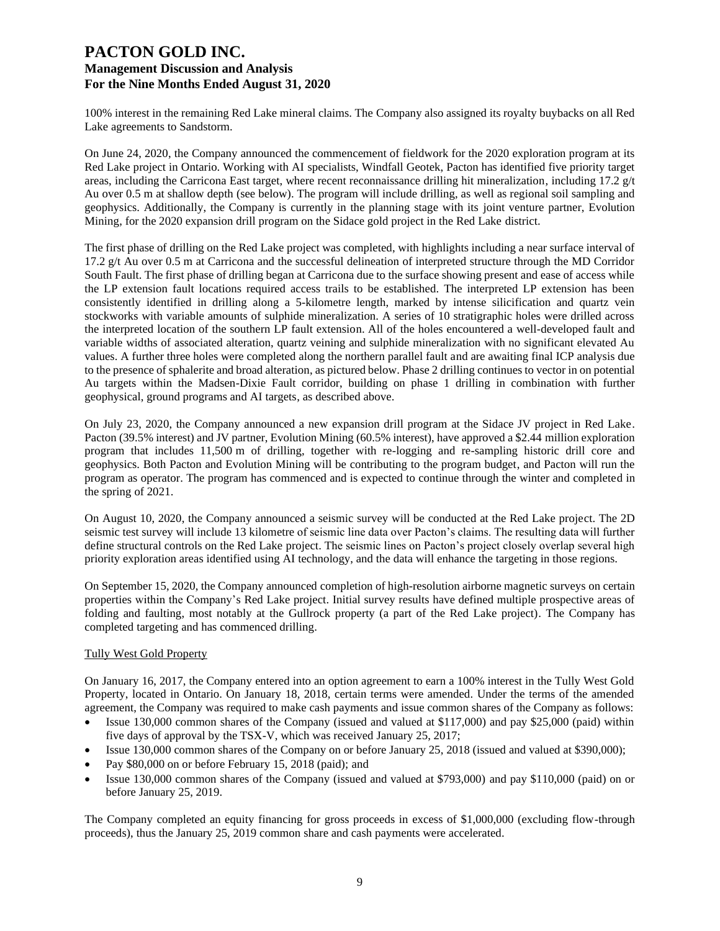100% interest in the remaining Red Lake mineral claims. The Company also assigned its royalty buybacks on all Red Lake agreements to Sandstorm.

On June 24, 2020, the Company announced the commencement of fieldwork for the 2020 exploration program at its Red Lake project in Ontario. Working with AI specialists, Windfall Geotek, Pacton has identified five priority target areas, including the Carricona East target, where recent reconnaissance drilling hit mineralization, including 17.2 g/t Au over 0.5 m at shallow depth (see below). The program will include drilling, as well as regional soil sampling and geophysics. Additionally, the Company is currently in the planning stage with its joint venture partner, Evolution Mining, for the 2020 expansion drill program on the Sidace gold project in the Red Lake district.

The first phase of drilling on the Red Lake project was completed, with highlights including a near surface interval of 17.2 g/t Au over 0.5 m at Carricona and the successful delineation of interpreted structure through the MD Corridor South Fault. The first phase of drilling began at Carricona due to the surface showing present and ease of access while the LP extension fault locations required access trails to be established. The interpreted LP extension has been consistently identified in drilling along a 5-kilometre length, marked by intense silicification and quartz vein stockworks with variable amounts of sulphide mineralization. A series of 10 stratigraphic holes were drilled across the interpreted location of the southern LP fault extension. All of the holes encountered a well-developed fault and variable widths of associated alteration, quartz veining and sulphide mineralization with no significant elevated Au values. A further three holes were completed along the northern parallel fault and are awaiting final ICP analysis due to the presence of sphalerite and broad alteration, as pictured below. Phase 2 drilling continues to vector in on potential Au targets within the Madsen-Dixie Fault corridor, building on phase 1 drilling in combination with further geophysical, ground programs and AI targets, as described above.

On July 23, 2020, the Company announced a new expansion drill program at the Sidace JV project in Red Lake. Pacton (39.5% interest) and JV partner, Evolution Mining (60.5% interest), have approved a \$2.44 million exploration program that includes 11,500 m of drilling, together with re-logging and re-sampling historic drill core and geophysics. Both Pacton and Evolution Mining will be contributing to the program budget, and Pacton will run the program as operator. The program has commenced and is expected to continue through the winter and completed in the spring of 2021.

On August 10, 2020, the Company announced a seismic survey will be conducted at the Red Lake project. The 2D seismic test survey will include 13 kilometre of seismic line data over Pacton's claims. The resulting data will further define structural controls on the Red Lake project. The seismic lines on Pacton's project closely overlap several high priority exploration areas identified using AI technology, and the data will enhance the targeting in those regions.

On September 15, 2020, the Company announced completion of high-resolution airborne magnetic surveys on certain properties within the Company's Red Lake project. Initial survey results have defined multiple prospective areas of folding and faulting, most notably at the Gullrock property (a part of the Red Lake project). The Company has completed targeting and has commenced drilling.

### Tully West Gold Property

On January 16, 2017, the Company entered into an option agreement to earn a 100% interest in the Tully West Gold Property, located in Ontario. On January 18, 2018, certain terms were amended. Under the terms of the amended agreement, the Company was required to make cash payments and issue common shares of the Company as follows:

- Issue 130,000 common shares of the Company (issued and valued at \$117,000) and pay \$25,000 (paid) within five days of approval by the TSX-V, which was received January 25, 2017;
- Issue 130,000 common shares of the Company on or before January 25, 2018 (issued and valued at \$390,000);
- Pay \$80,000 on or before February 15, 2018 (paid); and
- Issue 130,000 common shares of the Company (issued and valued at \$793,000) and pay \$110,000 (paid) on or before January 25, 2019.

The Company completed an equity financing for gross proceeds in excess of \$1,000,000 (excluding flow-through proceeds), thus the January 25, 2019 common share and cash payments were accelerated.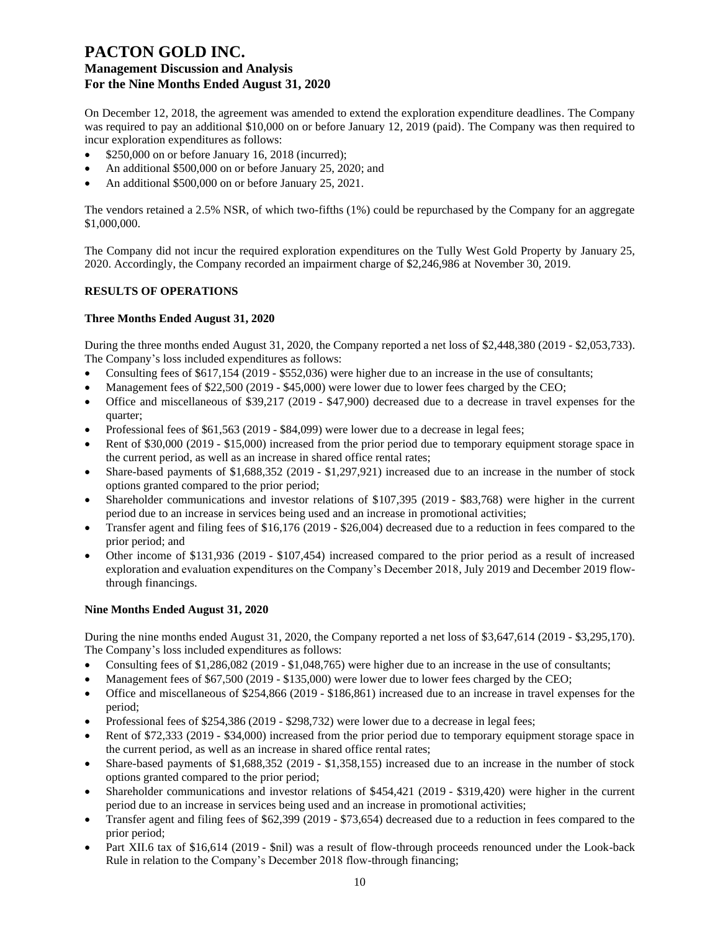On December 12, 2018, the agreement was amended to extend the exploration expenditure deadlines. The Company was required to pay an additional \$10,000 on or before January 12, 2019 (paid). The Company was then required to incur exploration expenditures as follows:

- \$250,000 on or before January 16, 2018 (incurred);
- An additional \$500,000 on or before January 25, 2020; and
- An additional \$500,000 on or before January 25, 2021.

The vendors retained a 2.5% NSR, of which two-fifths (1%) could be repurchased by the Company for an aggregate \$1,000,000.

The Company did not incur the required exploration expenditures on the Tully West Gold Property by January 25, 2020. Accordingly, the Company recorded an impairment charge of \$2,246,986 at November 30, 2019.

### **RESULTS OF OPERATIONS**

### **Three Months Ended August 31, 2020**

During the three months ended August 31, 2020, the Company reported a net loss of \$2,448,380 (2019 - \$2,053,733). The Company's loss included expenditures as follows:

- Consulting fees of \$617,154 (2019 \$552,036) were higher due to an increase in the use of consultants;
- Management fees of \$22,500 (2019 \$45,000) were lower due to lower fees charged by the CEO;
- Office and miscellaneous of \$39,217 (2019 \$47,900) decreased due to a decrease in travel expenses for the quarter;
- Professional fees of \$61,563 (2019 \$84,099) were lower due to a decrease in legal fees;
- Rent of \$30,000 (2019 \$15,000) increased from the prior period due to temporary equipment storage space in the current period, as well as an increase in shared office rental rates;
- Share-based payments of \$1,688,352 (2019 \$1,297,921) increased due to an increase in the number of stock options granted compared to the prior period;
- Shareholder communications and investor relations of \$107,395 (2019 \$83,768) were higher in the current period due to an increase in services being used and an increase in promotional activities;
- Transfer agent and filing fees of \$16,176 (2019 \$26,004) decreased due to a reduction in fees compared to the prior period; and
- Other income of \$131,936 (2019 \$107,454) increased compared to the prior period as a result of increased exploration and evaluation expenditures on the Company's December 2018, July 2019 and December 2019 flowthrough financings.

### **Nine Months Ended August 31, 2020**

During the nine months ended August 31, 2020, the Company reported a net loss of \$3,647,614 (2019 - \$3,295,170). The Company's loss included expenditures as follows:

- Consulting fees of \$1,286,082 (2019 \$1,048,765) were higher due to an increase in the use of consultants;
- Management fees of \$67,500 (2019 \$135,000) were lower due to lower fees charged by the CEO;
- Office and miscellaneous of \$254,866 (2019 \$186,861) increased due to an increase in travel expenses for the period;
- Professional fees of \$254,386 (2019 \$298,732) were lower due to a decrease in legal fees;
- Rent of \$72,333 (2019 \$34,000) increased from the prior period due to temporary equipment storage space in the current period, as well as an increase in shared office rental rates;
- Share-based payments of \$1,688,352 (2019 \$1,358,155) increased due to an increase in the number of stock options granted compared to the prior period;
- Shareholder communications and investor relations of \$454,421 (2019 \$319,420) were higher in the current period due to an increase in services being used and an increase in promotional activities;
- Transfer agent and filing fees of \$62,399 (2019 \$73,654) decreased due to a reduction in fees compared to the prior period;
- Part XII.6 tax of \$16,614 (2019 \$nil) was a result of flow-through proceeds renounced under the Look-back Rule in relation to the Company's December 2018 flow-through financing;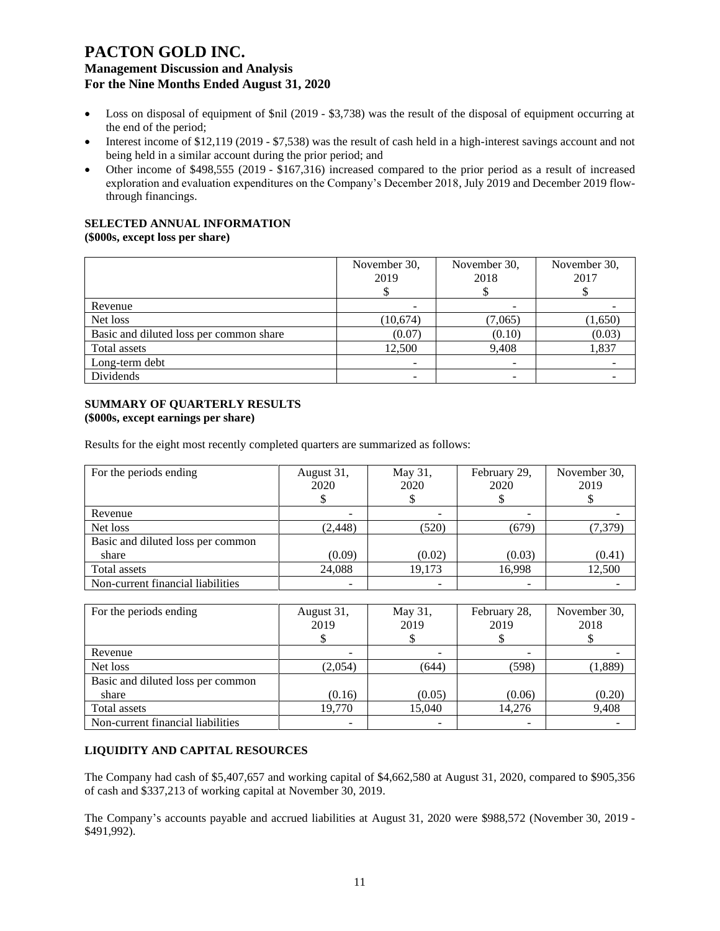- Loss on disposal of equipment of \$nil (2019 \$3,738) was the result of the disposal of equipment occurring at the end of the period;
- Interest income of \$12,119 (2019 \$7,538) was the result of cash held in a high-interest savings account and not being held in a similar account during the prior period; and
- Other income of \$498,555 (2019 \$167,316) increased compared to the prior period as a result of increased exploration and evaluation expenditures on the Company's December 2018, July 2019 and December 2019 flowthrough financings.

### **SELECTED ANNUAL INFORMATION**

**(\$000s, except loss per share)**

|                                         | November 30,<br>2019 | November 30,<br>2018 | November 30,<br>2017 |
|-----------------------------------------|----------------------|----------------------|----------------------|
| Revenue                                 |                      |                      |                      |
| Net loss                                | (10,674)             | (7,065)              | (1,650)              |
| Basic and diluted loss per common share | (0.07)               | (0.10)               | (0.03)               |
| Total assets                            | 12,500               | 9,408                | 1,837                |
| Long-term debt                          |                      |                      |                      |
| Dividends                               |                      |                      |                      |

#### **SUMMARY OF QUARTERLY RESULTS (\$000s, except earnings per share)**

Results for the eight most recently completed quarters are summarized as follows:

| For the periods ending            | August 31,<br>2020 | May 31,<br>2020 | February 29,<br>2020 | November 30,<br>2019 |
|-----------------------------------|--------------------|-----------------|----------------------|----------------------|
| Revenue                           |                    |                 |                      |                      |
| Net loss                          | (2, 448)           | (520)           | (679)                | (7, 379)             |
| Basic and diluted loss per common |                    |                 |                      |                      |
| share                             | (0.09)             | (0.02)          | (0.03)               | (0.41)               |
| Total assets                      | 24,088             | 19,173          | 16,998               | 12,500               |
| Non-current financial liabilities |                    |                 |                      |                      |

| For the periods ending            | August 31,<br>2019 | May 31,<br>2019 | February 28,<br>2019 | November 30,<br>2018 |
|-----------------------------------|--------------------|-----------------|----------------------|----------------------|
| Revenue                           |                    |                 |                      |                      |
| Net loss                          | (2,054)            | (644)           | (598)                | (1,889)              |
| Basic and diluted loss per common |                    |                 |                      |                      |
| share                             | (0.16)             | (0.05)          | (0.06)               | (0.20)               |
| Total assets                      | 19.770             | 15.040          | 14.276               | 9,408                |
| Non-current financial liabilities |                    |                 |                      |                      |

### **LIQUIDITY AND CAPITAL RESOURCES**

The Company had cash of \$5,407,657 and working capital of \$4,662,580 at August 31, 2020, compared to \$905,356 of cash and \$337,213 of working capital at November 30, 2019.

The Company's accounts payable and accrued liabilities at August 31, 2020 were \$988,572 (November 30, 2019 - \$491,992).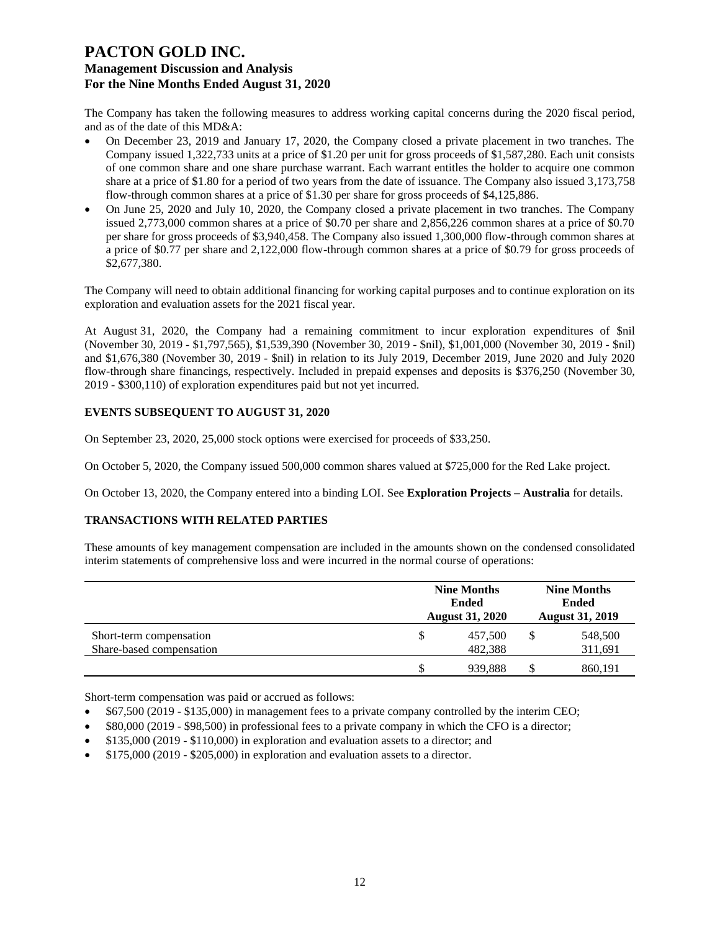The Company has taken the following measures to address working capital concerns during the 2020 fiscal period, and as of the date of this MD&A:

- On December 23, 2019 and January 17, 2020, the Company closed a private placement in two tranches. The Company issued 1,322,733 units at a price of \$1.20 per unit for gross proceeds of \$1,587,280. Each unit consists of one common share and one share purchase warrant. Each warrant entitles the holder to acquire one common share at a price of \$1.80 for a period of two years from the date of issuance. The Company also issued 3,173,758 flow-through common shares at a price of \$1.30 per share for gross proceeds of \$4,125,886.
- On June 25, 2020 and July 10, 2020, the Company closed a private placement in two tranches. The Company issued 2,773,000 common shares at a price of \$0.70 per share and 2,856,226 common shares at a price of \$0.70 per share for gross proceeds of \$3,940,458. The Company also issued 1,300,000 flow-through common shares at a price of \$0.77 per share and 2,122,000 flow-through common shares at a price of \$0.79 for gross proceeds of \$2,677,380.

The Company will need to obtain additional financing for working capital purposes and to continue exploration on its exploration and evaluation assets for the 2021 fiscal year.

At August 31, 2020, the Company had a remaining commitment to incur exploration expenditures of \$nil (November 30, 2019 - \$1,797,565), \$1,539,390 (November 30, 2019 - \$nil), \$1,001,000 (November 30, 2019 - \$nil) and \$1,676,380 (November 30, 2019 - \$nil) in relation to its July 2019, December 2019, June 2020 and July 2020 flow-through share financings, respectively. Included in prepaid expenses and deposits is \$376,250 (November 30, 2019 - \$300,110) of exploration expenditures paid but not yet incurred.

### **EVENTS SUBSEQUENT TO AUGUST 31, 2020**

On September 23, 2020, 25,000 stock options were exercised for proceeds of \$33,250.

On October 5, 2020, the Company issued 500,000 common shares valued at \$725,000 for the Red Lake project.

On October 13, 2020, the Company entered into a binding LOI. See **Exploration Projects – Australia** for details.

### **TRANSACTIONS WITH RELATED PARTIES**

These amounts of key management compensation are included in the amounts shown on the condensed consolidated interim statements of comprehensive loss and were incurred in the normal course of operations:

| <b>Nine Months</b><br><b>Ended</b><br><b>August 31, 2020</b> |         | <b>Nine Months</b><br><b>Ended</b><br><b>August 31, 2019</b> |                    |
|--------------------------------------------------------------|---------|--------------------------------------------------------------|--------------------|
| \$                                                           | 457,500 |                                                              | 548,500            |
|                                                              |         |                                                              | 311,691<br>860.191 |
|                                                              |         | 482.388<br>939.888                                           |                    |

Short-term compensation was paid or accrued as follows:

- \$67,500 (2019 \$135,000) in management fees to a private company controlled by the interim CEO;
- \$80,000 (2019 \$98,500) in professional fees to a private company in which the CFO is a director;
- \$135,000 (2019 \$110,000) in exploration and evaluation assets to a director; and
- \$175,000 (2019 \$205,000) in exploration and evaluation assets to a director.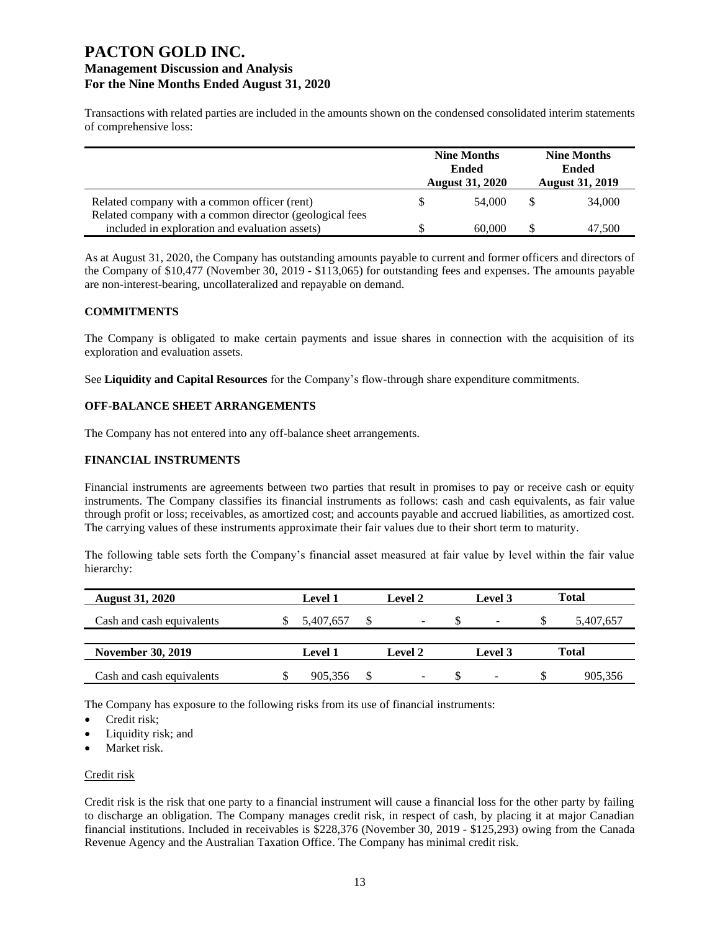Transactions with related parties are included in the amounts shown on the condensed consolidated interim statements of comprehensive loss:

|                                                                                                         | <b>Nine Months</b><br><b>Ended</b><br><b>August 31, 2020</b> |        | <b>Nine Months</b><br><b>Ended</b><br><b>August 31, 2019</b> |        |
|---------------------------------------------------------------------------------------------------------|--------------------------------------------------------------|--------|--------------------------------------------------------------|--------|
| Related company with a common officer (rent)<br>Related company with a common director (geological fees | S                                                            | 54,000 |                                                              | 34,000 |
| included in exploration and evaluation assets)                                                          |                                                              | 60,000 |                                                              | 47,500 |

As at August 31, 2020, the Company has outstanding amounts payable to current and former officers and directors of the Company of \$10,477 (November 30, 2019 - \$113,065) for outstanding fees and expenses. The amounts payable are non-interest-bearing, uncollateralized and repayable on demand.

### **COMMITMENTS**

The Company is obligated to make certain payments and issue shares in connection with the acquisition of its exploration and evaluation assets.

See **Liquidity and Capital Resources** for the Company's flow-through share expenditure commitments.

#### **OFF-BALANCE SHEET ARRANGEMENTS**

The Company has not entered into any off-balance sheet arrangements.

#### **FINANCIAL INSTRUMENTS**

Financial instruments are agreements between two parties that result in promises to pay or receive cash or equity instruments. The Company classifies its financial instruments as follows: cash and cash equivalents, as fair value through profit or loss; receivables, as amortized cost; and accounts payable and accrued liabilities, as amortized cost. The carrying values of these instruments approximate their fair values due to their short term to maturity.

The following table sets forth the Company's financial asset measured at fair value by level within the fair value hierarchy:

| <b>August 31, 2020</b>    | Level 1   | Level 2 | Level 3 | <b>Total</b> |
|---------------------------|-----------|---------|---------|--------------|
| Cash and cash equivalents | 5.407.657 |         |         | 5,407,657    |
|                           |           |         |         |              |
| <b>November 30, 2019</b>  | Level 1   | Level 2 | Level 3 | Total        |
| Cash and cash equivalents | 905,356   | -       |         | 905,356      |

The Company has exposure to the following risks from its use of financial instruments:

- Credit risk;
- Liquidity risk; and
- Market risk.

#### Credit risk

Credit risk is the risk that one party to a financial instrument will cause a financial loss for the other party by failing to discharge an obligation. The Company manages credit risk, in respect of cash, by placing it at major Canadian financial institutions. Included in receivables is \$228,376 (November 30, 2019 - \$125,293) owing from the Canada Revenue Agency and the Australian Taxation Office. The Company has minimal credit risk.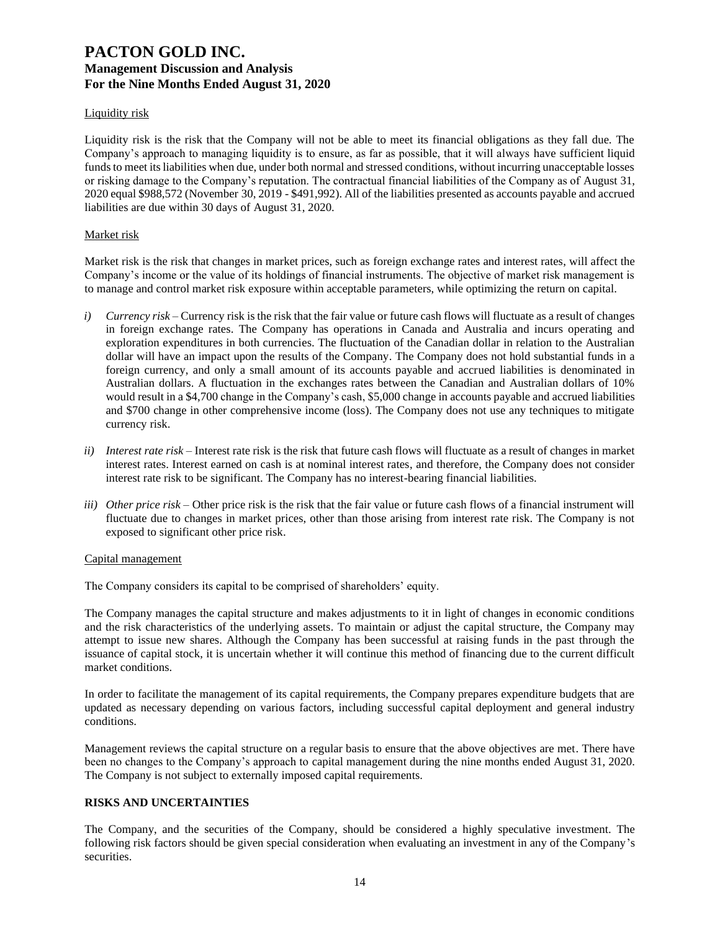### Liquidity risk

Liquidity risk is the risk that the Company will not be able to meet its financial obligations as they fall due. The Company's approach to managing liquidity is to ensure, as far as possible, that it will always have sufficient liquid funds to meet its liabilities when due, under both normal and stressed conditions, without incurring unacceptable losses or risking damage to the Company's reputation. The contractual financial liabilities of the Company as of August 31, 2020 equal \$988,572 (November 30, 2019 - \$491,992). All of the liabilities presented as accounts payable and accrued liabilities are due within 30 days of August 31, 2020.

### Market risk

Market risk is the risk that changes in market prices, such as foreign exchange rates and interest rates, will affect the Company's income or the value of its holdings of financial instruments. The objective of market risk management is to manage and control market risk exposure within acceptable parameters, while optimizing the return on capital.

- *i*) *Currency risk* Currency risk is the risk that the fair value or future cash flows will fluctuate as a result of changes in foreign exchange rates. The Company has operations in Canada and Australia and incurs operating and exploration expenditures in both currencies. The fluctuation of the Canadian dollar in relation to the Australian dollar will have an impact upon the results of the Company. The Company does not hold substantial funds in a foreign currency, and only a small amount of its accounts payable and accrued liabilities is denominated in Australian dollars. A fluctuation in the exchanges rates between the Canadian and Australian dollars of 10% would result in a \$4,700 change in the Company's cash, \$5,000 change in accounts payable and accrued liabilities and \$700 change in other comprehensive income (loss). The Company does not use any techniques to mitigate currency risk.
- *ii) Interest rate risk –* Interest rate risk is the risk that future cash flows will fluctuate as a result of changes in market interest rates. Interest earned on cash is at nominal interest rates, and therefore, the Company does not consider interest rate risk to be significant. The Company has no interest-bearing financial liabilities.
- *iii) Other price risk –* Other price risk is the risk that the fair value or future cash flows of a financial instrument will fluctuate due to changes in market prices, other than those arising from interest rate risk. The Company is not exposed to significant other price risk.

### Capital management

The Company considers its capital to be comprised of shareholders' equity.

The Company manages the capital structure and makes adjustments to it in light of changes in economic conditions and the risk characteristics of the underlying assets. To maintain or adjust the capital structure, the Company may attempt to issue new shares. Although the Company has been successful at raising funds in the past through the issuance of capital stock, it is uncertain whether it will continue this method of financing due to the current difficult market conditions.

In order to facilitate the management of its capital requirements, the Company prepares expenditure budgets that are updated as necessary depending on various factors, including successful capital deployment and general industry conditions.

Management reviews the capital structure on a regular basis to ensure that the above objectives are met. There have been no changes to the Company's approach to capital management during the nine months ended August 31, 2020. The Company is not subject to externally imposed capital requirements.

### **RISKS AND UNCERTAINTIES**

The Company, and the securities of the Company, should be considered a highly speculative investment. The following risk factors should be given special consideration when evaluating an investment in any of the Company's securities.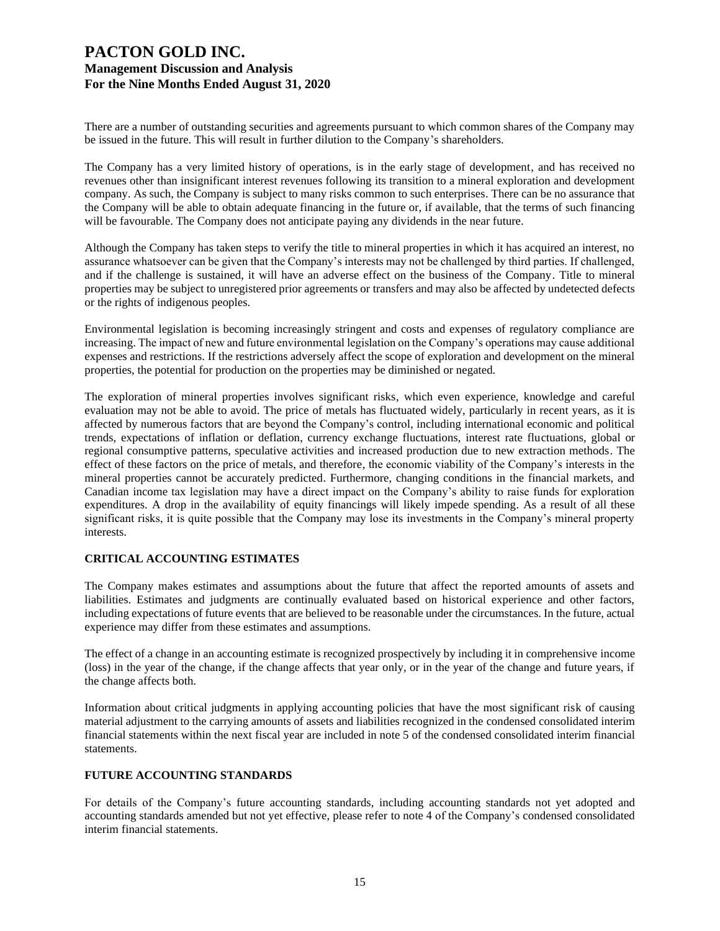There are a number of outstanding securities and agreements pursuant to which common shares of the Company may be issued in the future. This will result in further dilution to the Company's shareholders.

The Company has a very limited history of operations, is in the early stage of development, and has received no revenues other than insignificant interest revenues following its transition to a mineral exploration and development company. As such, the Company is subject to many risks common to such enterprises. There can be no assurance that the Company will be able to obtain adequate financing in the future or, if available, that the terms of such financing will be favourable. The Company does not anticipate paying any dividends in the near future.

Although the Company has taken steps to verify the title to mineral properties in which it has acquired an interest, no assurance whatsoever can be given that the Company's interests may not be challenged by third parties. If challenged, and if the challenge is sustained, it will have an adverse effect on the business of the Company. Title to mineral properties may be subject to unregistered prior agreements or transfers and may also be affected by undetected defects or the rights of indigenous peoples.

Environmental legislation is becoming increasingly stringent and costs and expenses of regulatory compliance are increasing. The impact of new and future environmental legislation on the Company's operations may cause additional expenses and restrictions. If the restrictions adversely affect the scope of exploration and development on the mineral properties, the potential for production on the properties may be diminished or negated.

The exploration of mineral properties involves significant risks, which even experience, knowledge and careful evaluation may not be able to avoid. The price of metals has fluctuated widely, particularly in recent years, as it is affected by numerous factors that are beyond the Company's control, including international economic and political trends, expectations of inflation or deflation, currency exchange fluctuations, interest rate fluctuations, global or regional consumptive patterns, speculative activities and increased production due to new extraction methods. The effect of these factors on the price of metals, and therefore, the economic viability of the Company's interests in the mineral properties cannot be accurately predicted. Furthermore, changing conditions in the financial markets, and Canadian income tax legislation may have a direct impact on the Company's ability to raise funds for exploration expenditures. A drop in the availability of equity financings will likely impede spending. As a result of all these significant risks, it is quite possible that the Company may lose its investments in the Company's mineral property interests.

### **CRITICAL ACCOUNTING ESTIMATES**

The Company makes estimates and assumptions about the future that affect the reported amounts of assets and liabilities. Estimates and judgments are continually evaluated based on historical experience and other factors, including expectations of future events that are believed to be reasonable under the circumstances. In the future, actual experience may differ from these estimates and assumptions.

The effect of a change in an accounting estimate is recognized prospectively by including it in comprehensive income (loss) in the year of the change, if the change affects that year only, or in the year of the change and future years, if the change affects both.

Information about critical judgments in applying accounting policies that have the most significant risk of causing material adjustment to the carrying amounts of assets and liabilities recognized in the condensed consolidated interim financial statements within the next fiscal year are included in note 5 of the condensed consolidated interim financial statements.

### **FUTURE ACCOUNTING STANDARDS**

For details of the Company's future accounting standards, including accounting standards not yet adopted and accounting standards amended but not yet effective, please refer to note 4 of the Company's condensed consolidated interim financial statements.